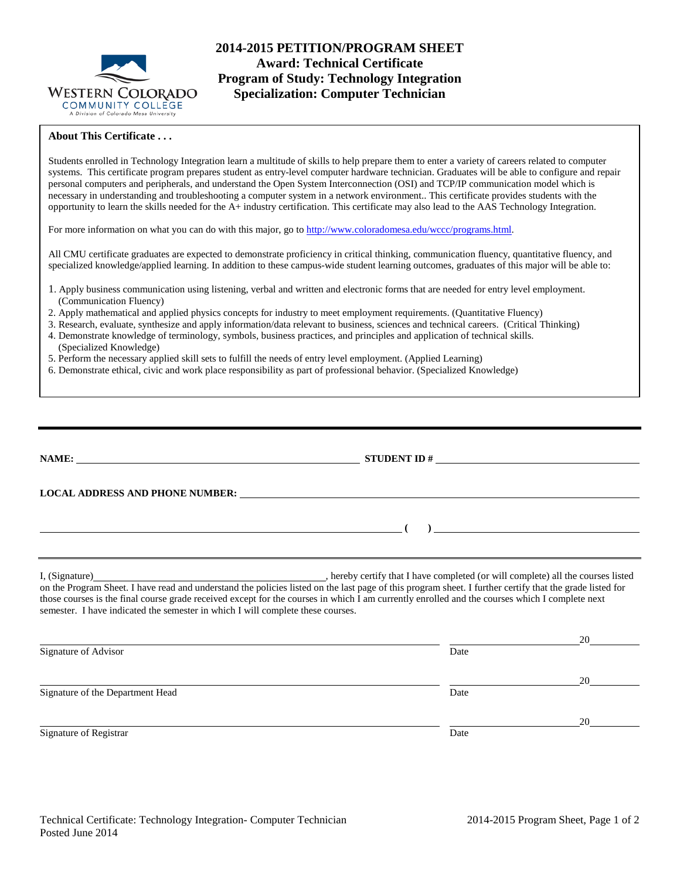

# **2014-2015 PETITION/PROGRAM SHEET Award: Technical Certificate Program of Study: Technology Integration Specialization: Computer Technician**

### **About This Certificate . . .**

Students enrolled in Technology Integration learn a multitude of skills to help prepare them to enter a variety of careers related to computer systems. This certificate program prepares student as entry-level computer hardware technician. Graduates will be able to configure and repair personal computers and peripherals, and understand the Open System Interconnection (OSI) and TCP/IP communication model which is necessary in understanding and troubleshooting a computer system in a network environment.. This certificate provides students with the opportunity to learn the skills needed for the A+ industry certification. This certificate may also lead to the AAS Technology Integration.

For more information on what you can do with this major, go to [http://www.coloradomesa.edu/wccc/programs.html.](http://www.coloradomesa.edu/wccc/programs.html)

All CMU certificate graduates are expected to demonstrate proficiency in critical thinking, communication fluency, quantitative fluency, and specialized knowledge/applied learning. In addition to these campus-wide student learning outcomes, graduates of this major will be able to:

- 1. Apply business communication using listening, verbal and written and electronic forms that are needed for entry level employment. (Communication Fluency)
- 2. Apply mathematical and applied physics concepts for industry to meet employment requirements. (Quantitative Fluency)
- 3. Research, evaluate, synthesize and apply information/data relevant to business, sciences and technical careers. (Critical Thinking) 4. Demonstrate knowledge of terminology, symbols, business practices, and principles and application of technical skills.
- (Specialized Knowledge)
- 5. Perform the necessary applied skill sets to fulfill the needs of entry level employment. (Applied Learning)
- 6. Demonstrate ethical, civic and work place responsibility as part of professional behavior. (Specialized Knowledge)

|                                                                                                                                                                                                                                   | LOCAL ADDRESS AND PHONE NUMBER: Under the contract of the contract of the contract of the contract of the contract of the contract of the contract of the contract of the contract of the contract of the contract of the cont                                                                                                                                                                                      |    |  |  |  |
|-----------------------------------------------------------------------------------------------------------------------------------------------------------------------------------------------------------------------------------|---------------------------------------------------------------------------------------------------------------------------------------------------------------------------------------------------------------------------------------------------------------------------------------------------------------------------------------------------------------------------------------------------------------------|----|--|--|--|
|                                                                                                                                                                                                                                   | $\overline{\phantom{a}}$ (b) $\overline{\phantom{a}}$ (c) $\overline{\phantom{a}}$ (c) $\overline{\phantom{a}}$ (c) $\overline{\phantom{a}}$ (c) $\overline{\phantom{a}}$ (c) $\overline{\phantom{a}}$ (c) $\overline{\phantom{a}}$ (c) $\overline{\phantom{a}}$ (c) $\overline{\phantom{a}}$ (c) $\overline{\phantom{a}}$ (c) $\overline{\phantom{a}}$ (c) $\overline{\phantom{a}}$ (c) $\overline{\phantom{a}}$ ( |    |  |  |  |
|                                                                                                                                                                                                                                   |                                                                                                                                                                                                                                                                                                                                                                                                                     |    |  |  |  |
| those courses is the final course grade received except for the courses in which I am currently enrolled and the courses which I complete next<br>semester. I have indicated the semester in which I will complete these courses. |                                                                                                                                                                                                                                                                                                                                                                                                                     |    |  |  |  |
|                                                                                                                                                                                                                                   |                                                                                                                                                                                                                                                                                                                                                                                                                     | 20 |  |  |  |
| Signature of Advisor                                                                                                                                                                                                              | Date                                                                                                                                                                                                                                                                                                                                                                                                                |    |  |  |  |
|                                                                                                                                                                                                                                   |                                                                                                                                                                                                                                                                                                                                                                                                                     | 20 |  |  |  |
| Signature of the Department Head                                                                                                                                                                                                  | Date                                                                                                                                                                                                                                                                                                                                                                                                                |    |  |  |  |
|                                                                                                                                                                                                                                   |                                                                                                                                                                                                                                                                                                                                                                                                                     | 20 |  |  |  |
| Signature of Registrar                                                                                                                                                                                                            | Date                                                                                                                                                                                                                                                                                                                                                                                                                |    |  |  |  |